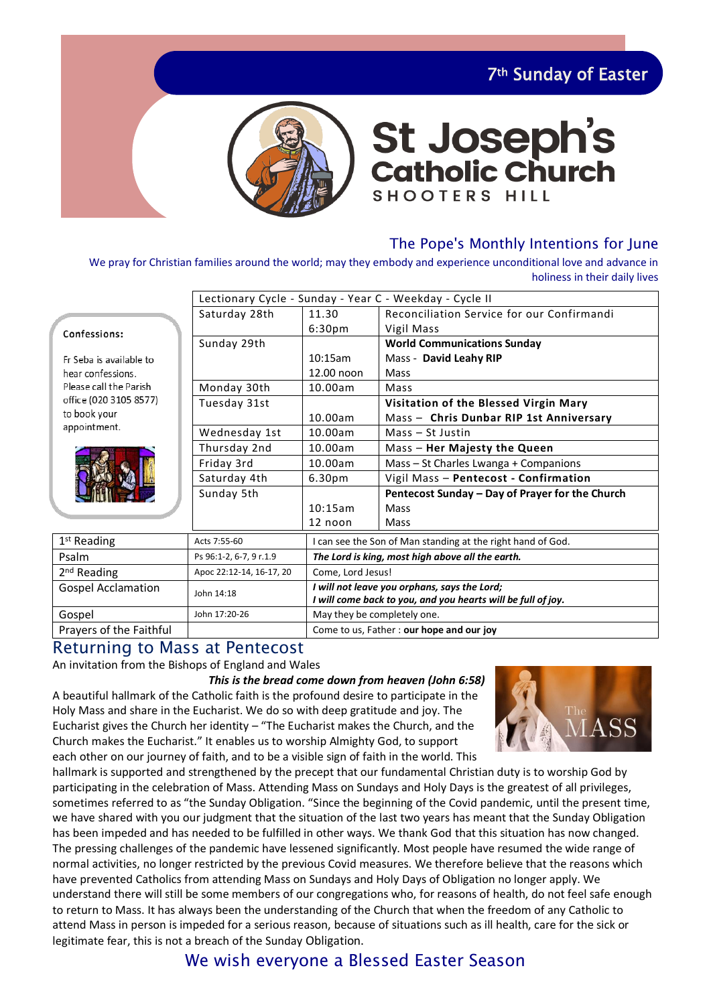7th Sunday of Easter



# **St Joseph's<br>Catholic Church SHOOTERS HILL**

#### The Pope's Monthly Intentions for June

We pray for Christian families around the world; may they embody and experience unconditional love and advance in holiness in their daily lives

|                              | Lectionary Cycle - Sunday - Year C - Weekday - Cycle II |                                                              |                                                 |  |  |
|------------------------------|---------------------------------------------------------|--------------------------------------------------------------|-------------------------------------------------|--|--|
|                              | Saturday 28th                                           | 11.30                                                        | Reconciliation Service for our Confirmandi      |  |  |
| Confessions:                 |                                                         | 6:30 <sub>pm</sub>                                           | Vigil Mass                                      |  |  |
|                              | Sunday 29th                                             | <b>World Communications Sunday</b>                           |                                                 |  |  |
| Fr Seba is available to      |                                                         | 10:15am                                                      | Mass - David Leahy RIP                          |  |  |
| hear confessions.            |                                                         | 12.00 noon                                                   | Mass                                            |  |  |
| Please call the Parish       | Monday 30th                                             | 10.00am                                                      | Mass                                            |  |  |
| office (020 3105 8577)       | Tuesday 31st                                            |                                                              | Visitation of the Blessed Virgin Mary           |  |  |
| to book your<br>appointment. |                                                         | 10.00am                                                      | Mass - Chris Dunbar RIP 1st Anniversary         |  |  |
|                              | Wednesday 1st                                           | 10.00am                                                      | $Mass - St Justin$                              |  |  |
|                              | Thursday 2nd                                            | 10.00am                                                      | Mass - Her Majesty the Queen                    |  |  |
|                              | Friday 3rd                                              | 10.00am                                                      | Mass – St Charles Lwanga + Companions           |  |  |
|                              | Saturday 4th                                            | Vigil Mass - Pentecost - Confirmation<br>6.30 <sub>pm</sub>  |                                                 |  |  |
|                              | Sunday 5th                                              |                                                              | Pentecost Sunday - Day of Prayer for the Church |  |  |
|                              |                                                         | 10:15am                                                      | <b>Mass</b>                                     |  |  |
|                              |                                                         | 12 noon                                                      | Mass                                            |  |  |
| 1 <sup>st</sup> Reading      | Acts 7:55-60                                            | I can see the Son of Man standing at the right hand of God.  |                                                 |  |  |
| Psalm                        | Ps 96:1-2, 6-7, 9 r.1.9                                 | The Lord is king, most high above all the earth.             |                                                 |  |  |
| 2 <sup>nd</sup> Reading      | Apoc 22:12-14, 16-17, 20                                | Come, Lord Jesus!                                            |                                                 |  |  |
| <b>Gospel Acclamation</b>    | John 14:18                                              | I will not leave you orphans, says the Lord;                 |                                                 |  |  |
|                              |                                                         | I will come back to you, and you hearts will be full of joy. |                                                 |  |  |
| Gospel                       | John 17:20-26                                           | May they be completely one.                                  |                                                 |  |  |

Prayers of the Faithful **Come to use Father I** Come to us, Father : **our hope and our joy** 

#### Returning to Mass at Pentecost

#### An invitation from the Bishops of England and Wales

*This is the bread come down from heaven (John 6:58)* A beautiful hallmark of the Catholic faith is the profound desire to participate in the Holy Mass and share in the Eucharist. We do so with deep gratitude and joy. The Eucharist gives the Church her identity – "The Eucharist makes the Church, and the Church makes the Eucharist." It enables us to worship Almighty God, to support each other on our journey of faith, and to be a visible sign of faith in the world. This



hallmark is supported and strengthened by the precept that our fundamental Christian duty is to worship God by participating in the celebration of Mass. Attending Mass on Sundays and Holy Days is the greatest of all privileges, sometimes referred to as "the Sunday Obligation. "Since the beginning of the Covid pandemic, until the present time, we have shared with you our judgment that the situation of the last two years has meant that the Sunday Obligation has been impeded and has needed to be fulfilled in other ways. We thank God that this situation has now changed. The pressing challenges of the pandemic have lessened significantly. Most people have resumed the wide range of normal activities, no longer restricted by the previous Covid measures. We therefore believe that the reasons which have prevented Catholics from attending Mass on Sundays and Holy Days of Obligation no longer apply. We understand there will still be some members of our congregations who, for reasons of health, do not feel safe enough to return to Mass. It has always been the understanding of the Church that when the freedom of any Catholic to attend Mass in person is impeded for a serious reason, because of situations such as ill health, care for the sick or legitimate fear, this is not a breach of the Sunday Obligation.

# We wish everyone a Blessed Easter Season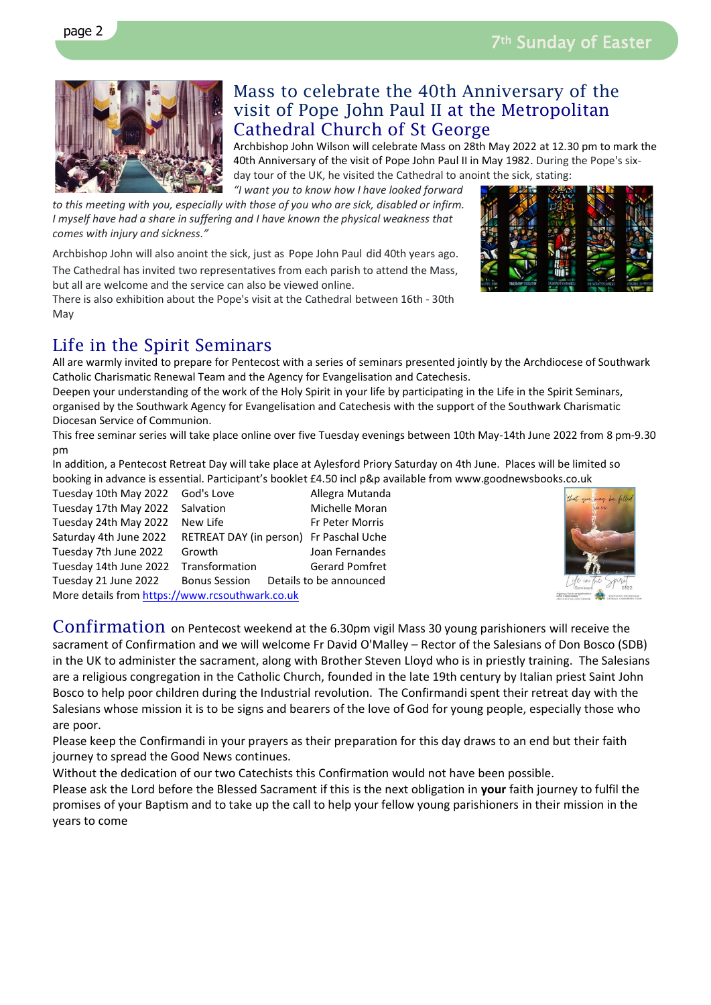

### Mass to celebrate the 40th Anniversary of the visit of Pope John Paul II at the Metropolitan Cathedral Church of St George

Archbishop John Wilson will celebrate Mass on 28th May 2022 at 12.30 pm to mark the 40th Anniversary of the visit of Pope John Paul II in May 1982. During the Pope's sixday tour of the UK, he visited the Cathedral to anoint the sick, stating: *"I want you to know how I have looked forward* 

*to this meeting with you, especially with those of you who are sick, disabled or infirm. I myself have had a share in suffering and I have known the physical weakness that comes with injury and sickness."*

Archbishop John will also anoint the sick, just as Pope John Paul did 40th years ago.

The Cathedral has invited two representatives from each parish to attend the Mass, but all are welcome and the service can also be viewed online.

There is also exhibition about the Pope's visit at the Cathedral between 16th - 30th May

# Life in the Spirit Seminars

All are warmly invited to prepare for Pentecost with a series of seminars presented jointly by the Archdiocese of Southwark Catholic Charismatic Renewal Team and the Agency for Evangelisation and Catechesis.

Deepen your understanding of the work of the Holy Spirit in your life by participating in the Life in the Spirit Seminars, organised by the Southwark Agency for Evangelisation and Catechesis with the support of the Southwark Charismatic Diocesan Service of Communion.

This free seminar series will take place online over five Tuesday evenings between 10th May-14th June 2022 from 8 pm-9.30 pm

In addition, a Pentecost Retreat Day will take place at Aylesford Priory Saturday on 4th June. Places will be limited so booking in advance is essential. Participant's booklet £4.50 incl p&p available from www.goodnewsbooks.co.uk

Tuesday 10th May 2022 God's Love **Allegra Mutanda** Tuesday 17th May 2022 Salvation Michelle Moran Tuesday 24th May 2022 New Life Fr Peter Morris Saturday 4th June 2022 RETREAT DAY (in person) Fr Paschal Uche Tuesday 7th June 2022 Growth Joan Fernandes Tuesday 14th June 2022 Transformation Gerard Pomfret Tuesday 21 June 2022 Bonus Session Details to be announced

More details fro[m https://www.rcsouthwark.co.uk](https://www.rcsouthwark.co.uk/)

Confirmation on Pentecost weekend at the 6.30pm vigil Mass 30 young parishioners will receive the sacrament of Confirmation and we will welcome Fr David O'Malley – Rector of the Salesians of Don Bosco (SDB) in the UK to administer the sacrament, along with Brother Steven Lloyd who is in priestly training. The Salesians are a religious congregation in the Catholic Church, founded in the late 19th century by Italian priest Saint John Bosco to help poor children during the Industrial revolution. The Confirmandi spent their retreat day with the Salesians whose mission it is to be signs and bearers of the love of God for young people, especially those who are poor.

Please keep the Confirmandi in your prayers as their preparation for this day draws to an end but their faith journey to spread the Good News continues.

Without the dedication of our two Catechists this Confirmation would not have been possible.

Please ask the Lord before the Blessed Sacrament if this is the next obligation in **your** faith journey to fulfil the promises of your Baptism and to take up the call to help your fellow young parishioners in their mission in the years to come



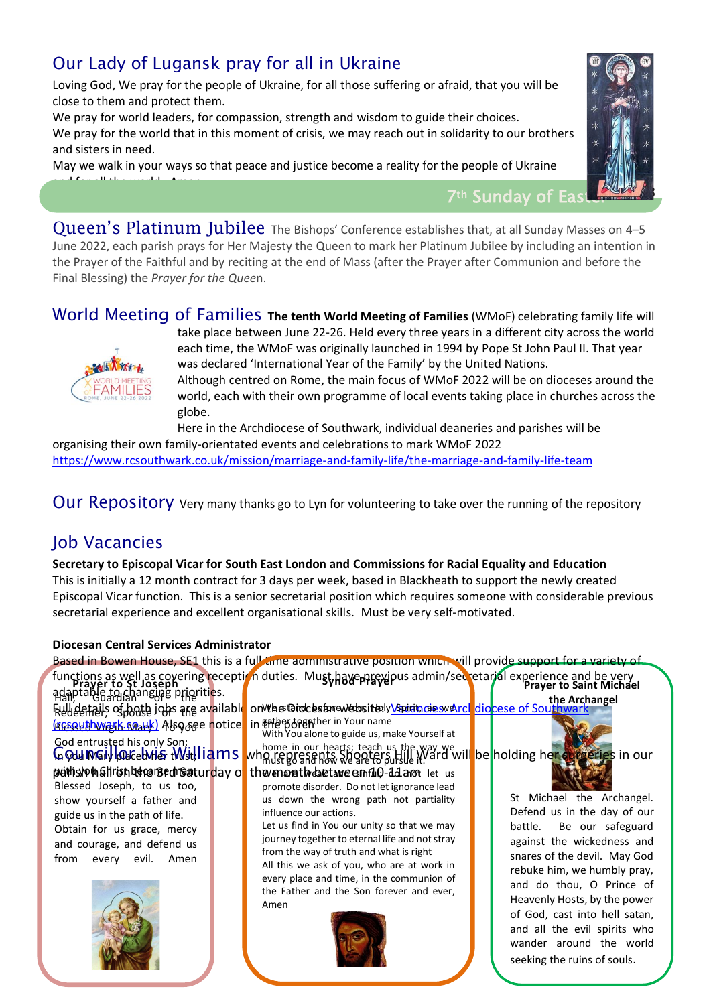# Our Lady of Lugansk pray for all in Ukraine

Loving God, We pray for the people of Ukraine, for all those suffering or afraid, that you will be close to them and protect them.

We pray for world leaders, for compassion, strength and wisdom to guide their choices. We pray for the world that in this moment of crisis, we may reach out in solidarity to our brothers and sisters in need.

May we walk in your ways so that peace and justice become a reality for the people of Ukraine and for all the world. Amen.

7<sup>th</sup> Sunday of Eas

Queen's Platinum Jubilee The Bishops' Conference establishes that, at all Sunday Masses on 4-5 June 2022, each parish prays for Her Majesty the Queen to mark her Platinum Jubilee by including an intention in the Prayer of the Faithful and by reciting at the end of Mass (after the Prayer after Communion and before the Final Blessing) the *Prayer for the Quee*n.

World Meeting of Families **The tenth World Meeting of Families** (WMoF) celebrating family life will



take place between June 22-26. Held every three years in a different city across the world each time, the WMoF was originally launched in 1994 by Pope St John Paul II. That year was declared 'International Year of the Family' by the United Nations. Although centred on Rome, the main focus of WMoF 2022 will be on dioceses around the world, each with their own programme of local events taking place in churches across the

globe. Here in the Archdiocese of Southwark, individual deaneries and parishes will be

organising their own family-orientated events and celebrations to mark WMoF 2022 <https://www.rcsouthwark.co.uk/mission/marriage-and-family-life/the-marriage-and-family-life-team>

Our Repository Very many thanks go to Lyn for volunteering to take over the running of the repository

# Job Vacancies

**Secretary to Episcopal Vicar for South East London and Commissions for Racial Equality and Education** This is initially a 12 month contract for 3 days per week, based in Blackheath to support the newly created

Episcopal Vicar function. This is a senior secretarial position which requires someone with considerable previous secretarial experience and excellent organisational skills. Must be very self-motivated.

#### **Diocesan Central Services Administrator**

|                                                                                                                                                                                                                              | Based in Bowen House, SE1 this is a full came auministrative position which will provide support for a variety of                                                                                                                                                                                                                                                                                                                                    |                                                                                                                                                                                                                                                                                                                                                                             |
|------------------------------------------------------------------------------------------------------------------------------------------------------------------------------------------------------------------------------|------------------------------------------------------------------------------------------------------------------------------------------------------------------------------------------------------------------------------------------------------------------------------------------------------------------------------------------------------------------------------------------------------------------------------------------------------|-----------------------------------------------------------------------------------------------------------------------------------------------------------------------------------------------------------------------------------------------------------------------------------------------------------------------------------------------------------------------------|
|                                                                                                                                                                                                                              | functions as well as covering reception duties. Must have provided admin/secretarial experience and be very<br>adaptable to St Joseph right in the secret of the Archael<br>the Archangel                                                                                                                                                                                                                                                            |                                                                                                                                                                                                                                                                                                                                                                             |
| <b>Full details of both jobs are available</b><br>(BreseHahwarik.Qaauk) Abo see notice                                                                                                                                       | onWhestDirdcestmewerbsittely\Spiritncieswe\rcholdigcese of Southwark<br>in Enlag begather in Your name<br>With You alone to guide us, make Yourself at                                                                                                                                                                                                                                                                                               | the Archangel                                                                                                                                                                                                                                                                                                                                                               |
| God entrusted his only Son;<br>Gody mail looke bries this identity                                                                                                                                                           | whome in our hearts; teach us the way we will be holding her surfacties in our                                                                                                                                                                                                                                                                                                                                                                       |                                                                                                                                                                                                                                                                                                                                                                             |
| pathslohallrish turer Bedr&aturday o<br>Blessed Joseph, to us too,<br>show yourself a father and<br>guide us in the path of life.<br>Obtain for us grace, mercy<br>and courage, and defend us<br>from<br>every evil.<br>Amen | the month data we emilio-did and let us<br>promote disorder. Do not let ignorance lead<br>us down the wrong path not partiality<br>influence our actions.<br>Let us find in You our unity so that we may<br>journey together to eternal life and not stray<br>from the way of truth and what is right<br>All this we ask of you, who are at work in<br>every place and time, in the communion of<br>the Father and the Son forever and ever,<br>Amen | St Michael the Archangel.<br>Defend us in the day of our<br>Be our safeguard<br>battle.<br>against the wickedness and<br>snares of the devil. May God<br>rebuke him, we humbly pray,<br>and do thou, O Prince of<br>Heavenly Hosts, by the power<br>of God, cast into hell satan,<br>and all the evil spirits who<br>wander around the world<br>seeking the ruins of souls. |